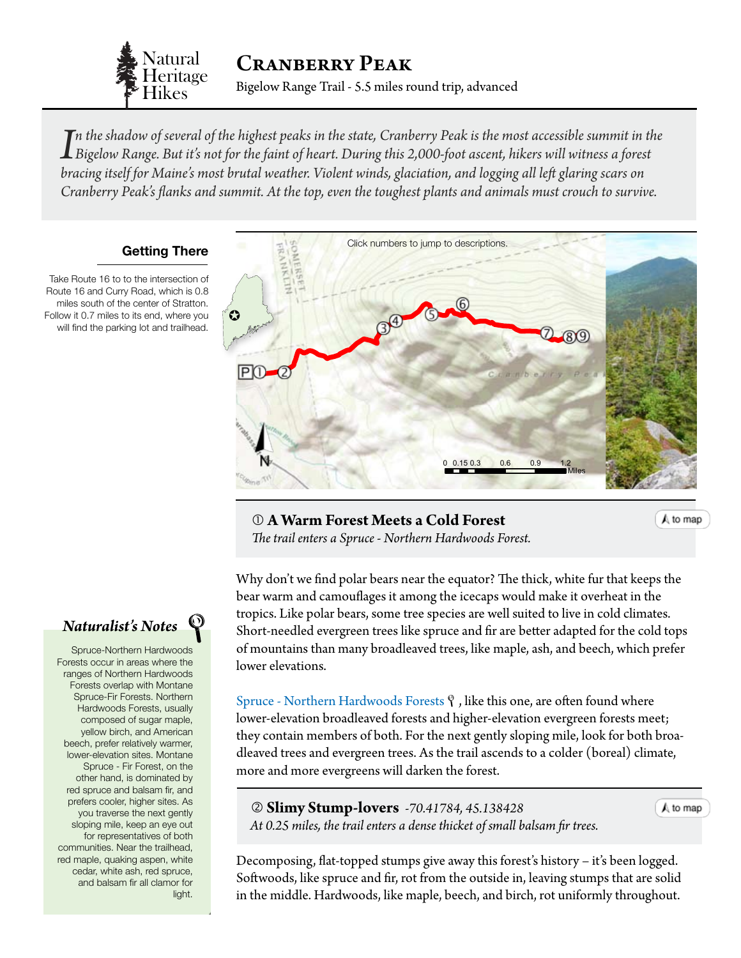

*I*n the shadow of several of the highest peaks in the state, Cranberry Peak is the most accessible summit in the Bigelow Range. But it's not for the faint of heart. During this 2,000-foot ascent, hikers will witness a for *n the shadow of several of the highest peaks in the state, Cranberry Peak is the most accessible summit in the bracing itself for Maine's most brutal weather. Violent winds, glaciation, and logging all left glaring scars on Cranberry Peak's flanks and summit. At the top, even the toughest plants and animals must crouch to survive.*

## **Getting There**

Take Route 16 to to the intersection of Route 16 and Curry Road, which is 0.8 miles south of the center of Stratton. Follow it 0.7 miles to its end, where you will find the parking lot and trailhead.

<span id="page-0-0"></span>

0 0.15 0.3 0.6 0.9 1.2 *The trail enters a Spruce - Northern Hardwoods Forest.* **A Warm Forest Meets a Cold Forest** 

A to map

A to map

Why don't we find polar bears near the equator? The thick, white fur that keeps the bear warm and camouflages it among the icecaps would make it overheat in the tropics. Like polar bears, some tree species are well suited to live in cold climates. Short-needled evergreen trees like spruce and fir are better adapted for the cold tops of mountains than many broadleaved trees, like maple, ash, and beech, which prefer lower elevations.

[Spruce - Northern Hardwoods Forests](http://www.maine.gov/dacf/mnap/features/communities/sprucenorthernhardwood.htm)  $\mathcal{P}$ , like this one, are often found where lower-elevation broadleaved forests and higher-elevation evergreen forests meet; they contain members of both. For the next gently sloping mile, look for both broadleaved trees and evergreen trees. As the trail ascends to a colder (boreal) climate, more and more evergreens will darken the forest.

 **Slimy Stump-lovers** *-70.41784, 45.138428 At 0.25 miles, the trail enters a dense thicket of small balsam fir trees.*

Decomposing, flat-topped stumps give away this forest's history – it's been logged. Softwoods, like spruce and fir, rot from the outside in, leaving stumps that are solid in the middle. Hardwoods, like maple, beech, and birch, rot uniformly throughout.

## *Naturalist's Notes*

Spruce-Northern Hardwoods Forests occur in areas where the ranges of Northern Hardwoods Forests overlap with Montane Spruce-Fir Forests. Northern Hardwoods Forests, usually composed of sugar maple, yellow birch, and American beech, prefer relatively warmer, lower-elevation sites. Montane Spruce - Fir Forest, on the other hand, is dominated by red spruce and balsam fir, and prefers cooler, higher sites. As you traverse the next gently sloping mile, keep an eye out for representatives of both communities. Near the trailhead, red maple, quaking aspen, white cedar, white ash, red spruce, and balsam fir all clamor for light.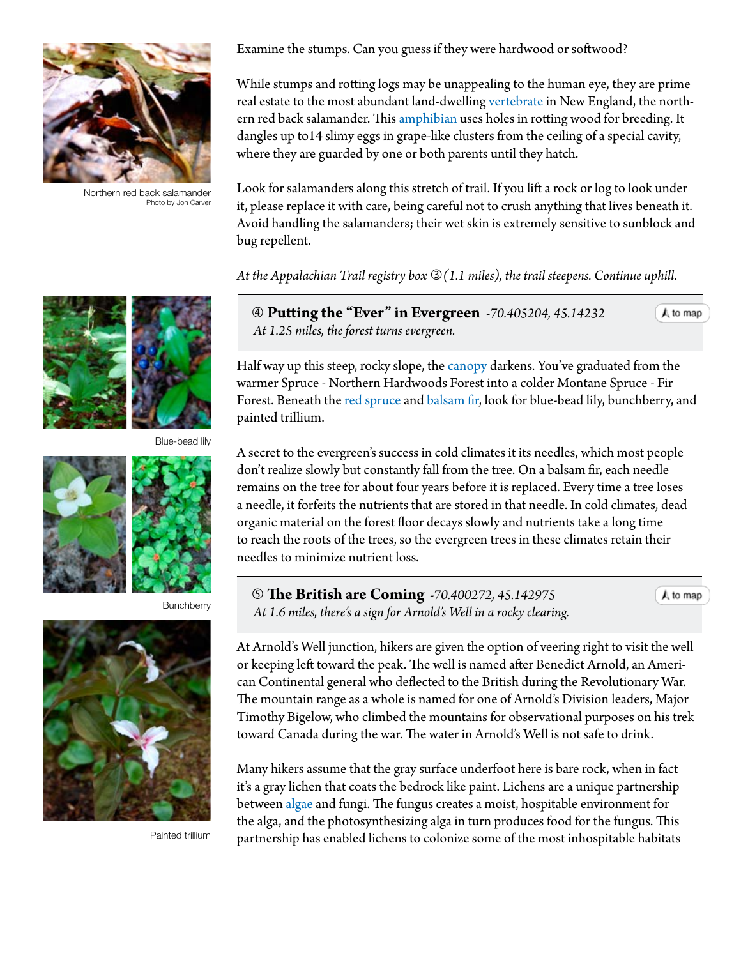

Northern red back salamander Photo by Jon Carver



Blue-bead lily



**Bunchberry** 



Painted trillium

Examine the stumps. Can you guess if they were hardwood or softwood?

While stumps and rotting logs may be unappealing to the human eye, they are prime real estate to the most abundant land-dwelling [vertebrate](#page-4-0) in New England, the northern red back salamander. This [amphibian](#page-4-0) uses holes in rotting wood for breeding. It dangles up to14 slimy eggs in grape-like clusters from the ceiling of a special cavity, where they are guarded by one or both parents until they hatch.

Look for salamanders along this stretch of trail. If you lift a rock or log to look under it, please replace it with care, being careful not to crush anything that lives beneath it. Avoid handling the salamanders; their wet skin is extremely sensitive to sunblock and bug repellent.

*At the Appalachian Trail registry box (1.1 miles), the trail steepens. Continue uphill*.

 **Putting the "Ever" in Evergreen** *-70.405204, 45.14232 At 1.25 miles, the forest turns evergreen.*

Half way up this steep, rocky slope, the [canopy](#page-4-0) darkens. You've graduated from the warmer Spruce - Northern Hardwoods Forest into a colder Montane Spruce - Fir Forest. Beneath the [red spruce](http://dendro.cnre.vt.edu/dendrology/syllabus/factsheet.cfm?ID=137) and [balsam fir,](http://dendro.cnre.vt.edu/dendrology/syllabus/factsheet.cfm?ID=119) look for blue-bead lily, bunchberry, and painted trillium.

A secret to the evergreen's success in cold climates it its needles, which most people don't realize slowly but constantly fall from the tree. On a balsam fir, each needle remains on the tree for about four years before it is replaced. Every time a tree loses a needle, it forfeits the nutrients that are stored in that needle. In cold climates, dead organic material on the forest floor decays slowly and nutrients take a long time to reach the roots of the trees, so the evergreen trees in these climates retain their needles to minimize nutrient loss.

 **The British are Coming** *-70.400272, 45.142975 At 1.6 miles, there's a sign for Arnold's Well in a rocky clearing.*

 $A$  to map

A to map

At Arnold's Well junction, hikers are given the option of veering right to visit the well or keeping left toward the peak. The well is named after Benedict Arnold, an American Continental general who deflected to the British during the Revolutionary War. The mountain range as a whole is named for one of Arnold's Division leaders, Major Timothy Bigelow, who climbed the mountains for observational purposes on his trek toward Canada during the war. The water in Arnold's Well is not safe to drink.

Many hikers assume that the gray surface underfoot here is bare rock, when in fact it's a gray lichen that coats the bedrock like paint. Lichens are a unique partnership between [algae](#page-4-0) and fungi. The fungus creates a moist, hospitable environment for the alga, and the photosynthesizing alga in turn produces food for the fungus. This partnership has enabled lichens to colonize some of the most inhospitable habitats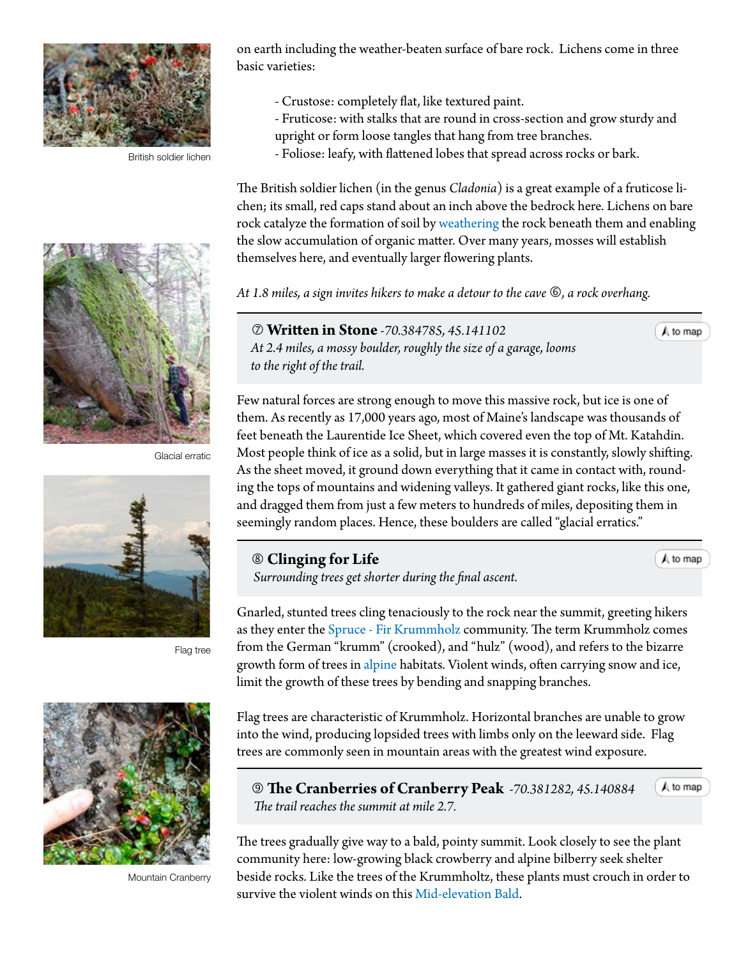

British soldier lichen



Glacial erratic



Flag tree



Mountain Cranberry

on earth including the weather-beaten surface of bare rock. Lichens come in three basic varieties:

- Crustose: completely flat, like textured paint.
- Fruticose: with stalks that are round in cross-section and grow sturdy and
- upright or form loose tangles that hang from tree branches.
- Foliose: leafy, with flattened lobes that spread across rocks or bark.

The British soldier lichen (in the genus *Cladonia*) is a great example of a fruticose lichen; its small, red caps stand about an inch above the bedrock here. Lichens on bare rock catalyze the formation of soil by [weathering](#page-4-0) the rock beneath them and enabling the slow accumulation of organic matter. Over many years, mosses will establish themselves here, and eventually larger flowering plants.

*At 1.8 miles, a sign invites hikers to make a detour to the cave , a rock overhang.*

 **Written in Stone** *-70.384785, 45.141102 At 2.4 miles, a mossy boulder, roughly the size of a garage, looms to the right of the trail.*

Few natural forces are strong enough to move this massive rock, but ice is one of them. As recently as 17,000 years ago, most of Maine's landscape was thousands of feet beneath the Laurentide Ice Sheet, which covered even the top of Mt. Katahdin. Most people think of ice as a solid, but in large masses it is constantly, slowly shifting. As the sheet moved, it ground down everything that it came in contact with, rounding the tops of mountains and widening valleys. It gathered giant rocks, like this one, and dragged them from just a few meters to hundreds of miles, depositing them in seemingly random places. Hence, these boulders are called "glacial erratics."

 **Clinging for Life**   *Surrounding trees get shorter during the final ascent.*

 $A$  to map

A to map

 $A$  to map

Gnarled, stunted trees cling tenaciously to the rock near the summit, greeting hikers as they enter the [Spruce - Fir Krummholz](http://www.maine.gov/dacf/mnap/features/communities/sprucefirkrummholz.htm) community. The term Krummholz comes from the German "krumm" (crooked), and "hulz" (wood), and refers to the bizarre growth form of trees in [alpine](#page-4-0) habitats. Violent winds, often carrying snow and ice,

limit the growth of these trees by bending and snapping branches.

Flag trees are characteristic of Krummholz. Horizontal branches are unable to grow into the wind, producing lopsided trees with limbs only on the leeward side. Flag trees are commonly seen in mountain areas with the greatest wind exposure.

 **The Cranberries of Cranberry Peak** *-70.381282, 45.14088[4](#page-0-0) The trail reaches the summit at mile 2.7.*

The trees gradually give way to a bald, pointy summit. Look closely to see the plant community here: low-growing black crowberry and alpine bilberry seek shelter beside rocks. Like the trees of the Krummholtz, these plants must crouch in order to survive the violent winds on this [Mid-elevation Bald](http://www.maine.gov/dacf/mnap/features/communities/crowberrybilberry.htm).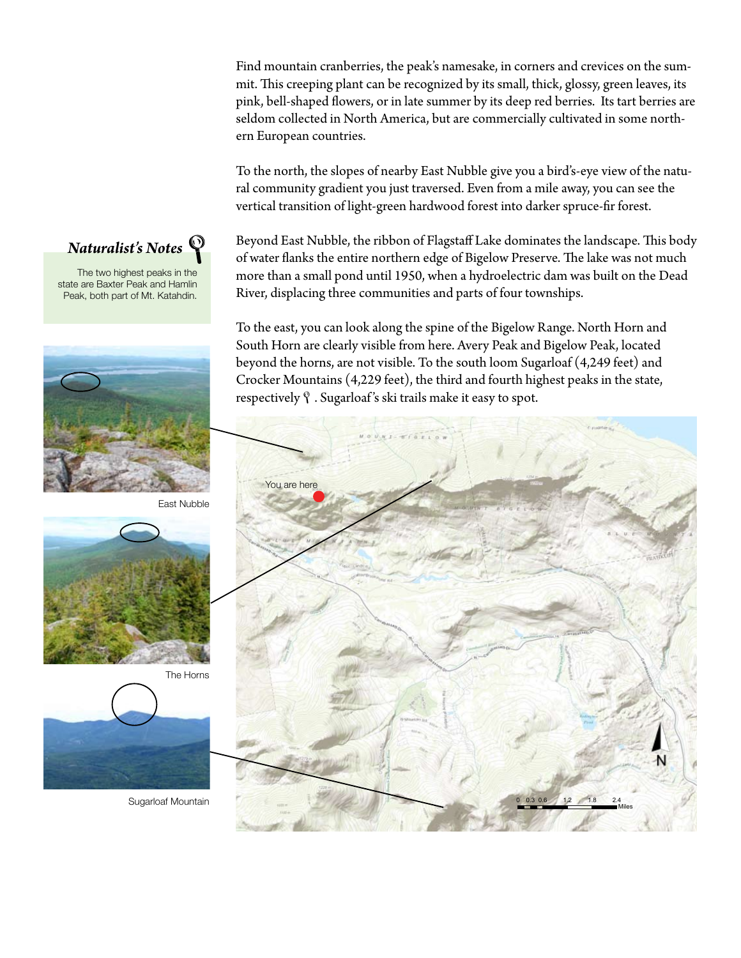Find mountain cranberries, the peak's namesake, in corners and crevices on the summit. This creeping plant can be recognized by its small, thick, glossy, green leaves, its pink, bell-shaped flowers, or in late summer by its deep red berries. Its tart berries are seldom collected in North America, but are commercially cultivated in some northern European countries.

To the north, the slopes of nearby East Nubble give you a bird's-eye view of the natural community gradient you just traversed. Even from a mile away, you can see the vertical transition of light-green hardwood forest into darker spruce-fir forest.

Beyond East Nubble, the ribbon of Flagstaff Lake dominates the landscape. This body of water flanks the entire northern edge of Bigelow Preserve. The lake was not much more than a small pond until 1950, when a hydroelectric dam was built on the Dead River, displacing three communities and parts of four townships.

To the east, you can look along the spine of the Bigelow Range. North Horn and South Horn are clearly visible from here. Avery Peak and Bigelow Peak, located beyond the horns, are not visible. To the south loom Sugarloaf (4,249 feet) and Crocker Mountains (4,229 feet), the third and fourth highest peaks in the state, respectively  $\mathcal{P}$ . Sugarloaf's ski trails make it easy to spot.





The two highest peaks in the state are Baxter Peak and Hamlin Peak, both part of Mt. Katahdin.







The Horns



Sugarloaf Mountain